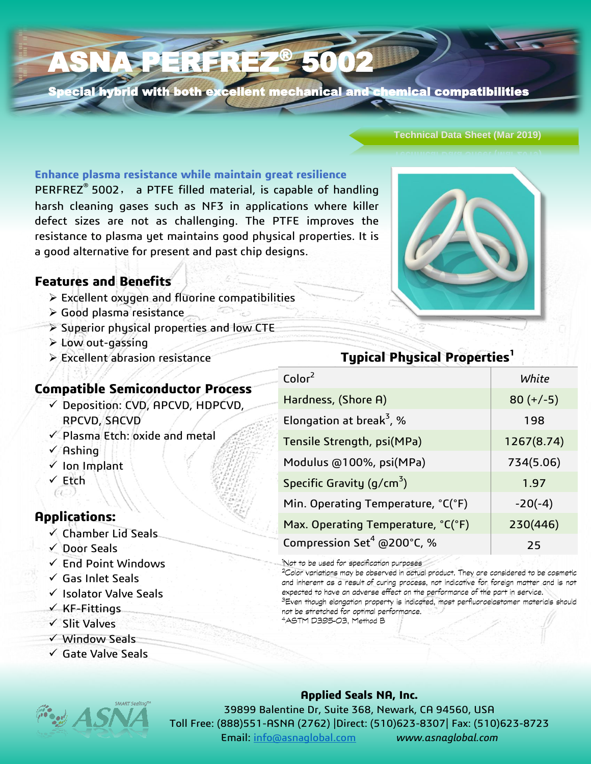# ASNA PERFREZ® 5002

Special hybrid with both excellent mechanical and chemical compatibilities

#### **Technical Data Sheet (Mar 2019)**

#### **Enhance plasma resistance while maintain great resilience**

PERFREZ<sup>®</sup> 5002, a PTFE filled material, is capable of handling harsh cleaning gases such as NF3 in applications where killer defect sizes are not as challenging. The PTFE improves the resistance to plasma yet maintains good physical properties. It is a good alternative for present and past chip designs.

### **Features and Benefits**

- Excellent oxygen and fluorine compatibilities
- $\triangleright$  Good plasma resistance
- $\triangleright$  Superior physical properties and low CTE
- Low out-gassing
- Excellent abrasion resistance

## **Compatible Semiconductor Process**

- $\checkmark$  Deposition: CVD, APCVD, HDPCVD, RPCVD, SACVD
- Plasma Etch: oxide and metal
- $\sqrt{}$  Ashina
- $\checkmark$  Ion Implant
- $\times$  Etch 60

#### **Applications:**

- $\times$  Chamber Lid Seals
- $\checkmark$  Door Seals
- $\checkmark$  End Point Windows
- $\sqrt{G}$ Gas Inlet Seals
- $\checkmark$  Isolator Valve Seals
- $\checkmark$  KF-Fittings
- $\checkmark$  Slit Valves
- Window Seals
- Gate Valve Seals

| $\mathsf{Color}^2$                    | White       |
|---------------------------------------|-------------|
| Hardness, (Shore A)                   | $80 (+/-5)$ |
| Elongation at break <sup>3</sup> , %  | 198         |
| Tensile Strength, psi(MPa)            | 1267(8.74)  |
| Modulus @100%, psi(MPa)               | 734(5.06)   |
| Specific Gravity (g/cm <sup>3</sup> ) | 1.97        |
| Min. Operating Temperature, °C(°F)    | $-20(-4)$   |
| Max. Operating Temperature, °C(°F)    | 230(446)    |
| Compression Set $^4$ @200°C, %        | 25          |

'Not to be used for specification purposes

<sup>2</sup>Color variations may be observed in actual product. They are considered to be cosmetic and inherent as a result of curing process, not indicative for foreign matter and is not expected to have an adverse effect on the performance of the part in service. <sup>3</sup>Even though elongation property is indicated, most perfluoroelastomer materials should not be stretched for optimal performance. 4ASTM D395-03, Method B

#### **Applied Seals NA, Inc.**

39899 Balentine Dr, Suite 368, Newark, CA 94560, USA Toll Free: (888)551-ASNA (2762) |Direct: (510)623-8307| Fax: (510)623-8723 Email: [info@asnaglobal.com](mailto:info@asnaglobal.com) *www.asnaglobal.com*



|                                 | Wh      |
|---------------------------------|---------|
| ess, (Shore A)                  | $80 (+$ |
| ation at break <sup>3</sup> , % |         |

**Typical Physical Properties<sup>1</sup>**